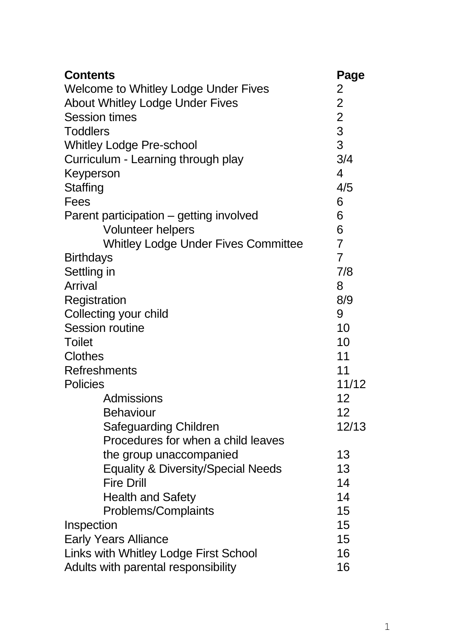| <b>Contents</b>                               | Page                    |
|-----------------------------------------------|-------------------------|
| Welcome to Whitley Lodge Under Fives          | 2                       |
| About Whitley Lodge Under Fives               | $\overline{c}$          |
| <b>Session times</b>                          | $\overline{\mathbf{c}}$ |
| <b>Toddlers</b>                               | 3                       |
| <b>Whitley Lodge Pre-school</b>               | 3                       |
| Curriculum - Learning through play            | 3/4                     |
| Keyperson                                     | 4                       |
| Staffing                                      | 4/5                     |
| Fees                                          | 6                       |
| Parent participation - getting involved       | 6                       |
| Volunteer helpers                             | 6                       |
| Whitley Lodge Under Fives Committee           | $\overline{7}$          |
| <b>Birthdays</b>                              | $\overline{7}$          |
| Settling in                                   | 7/8                     |
| <b>Arrival</b>                                | 8                       |
| Registration                                  | 8/9                     |
| Collecting your child                         | 9                       |
| Session routine                               | 10                      |
| <b>Toilet</b>                                 | 10                      |
| <b>Clothes</b>                                | 11                      |
| <b>Refreshments</b>                           | 11                      |
| Policies                                      | 11/12                   |
| Admissions                                    | 12                      |
| Behaviour                                     | 12                      |
| Safeguarding Children                         | 12/13                   |
| Procedures for when a child leaves            |                         |
| the group unaccompanied                       | 13                      |
| <b>Equality &amp; Diversity/Special Needs</b> | 13                      |
| <b>Fire Drill</b>                             | 14                      |
| <b>Health and Safety</b>                      | 14                      |
| Problems/Complaints                           | 15                      |
| Inspection                                    | 15                      |
| <b>Early Years Alliance</b>                   |                         |
| Links with Whitley Lodge First School         |                         |
| Adults with parental responsibility           | 16                      |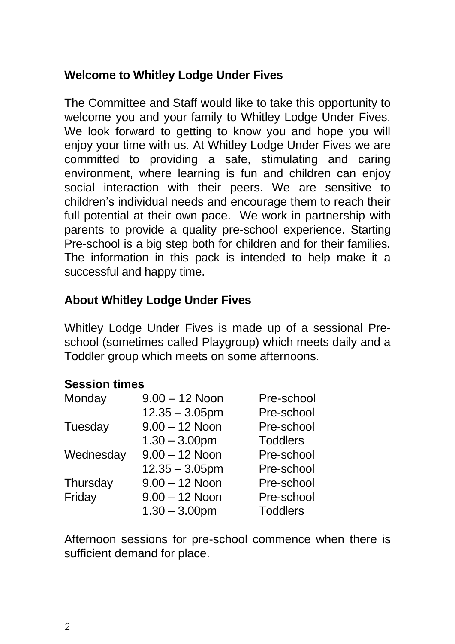#### **Welcome to Whitley Lodge Under Fives**

The Committee and Staff would like to take this opportunity to welcome you and your family to Whitley Lodge Under Fives. We look forward to getting to know you and hope you will enjoy your time with us. At Whitley Lodge Under Fives we are committed to providing a safe, stimulating and caring environment, where learning is fun and children can enjoy social interaction with their peers. We are sensitive to children's individual needs and encourage them to reach their full potential at their own pace. We work in partnership with parents to provide a quality pre-school experience. Starting Pre-school is a big step both for children and for their families. The information in this pack is intended to help make it a successful and happy time.

### **About Whitley Lodge Under Fives**

Whitley Lodge Under Fives is made up of a sessional Preschool (sometimes called Playgroup) which meets daily and a Toddler group which meets on some afternoons.

#### **Session times**

| Monday    | $9.00 - 12$ Noon  | Pre-school      |
|-----------|-------------------|-----------------|
|           | $12.35 - 3.05$ pm | Pre-school      |
| Tuesday   | $9.00 - 12$ Noon  | Pre-school      |
|           | $1.30 - 3.00$ pm  | <b>Toddlers</b> |
| Wednesday | $9.00 - 12$ Noon  | Pre-school      |
|           | $12.35 - 3.05$ pm | Pre-school      |
| Thursday  | $9.00 - 12$ Noon  | Pre-school      |
| Friday    | $9.00 - 12$ Noon  | Pre-school      |
|           | $1.30 - 3.00$ pm  | <b>Toddlers</b> |

Afternoon sessions for pre-school commence when there is sufficient demand for place.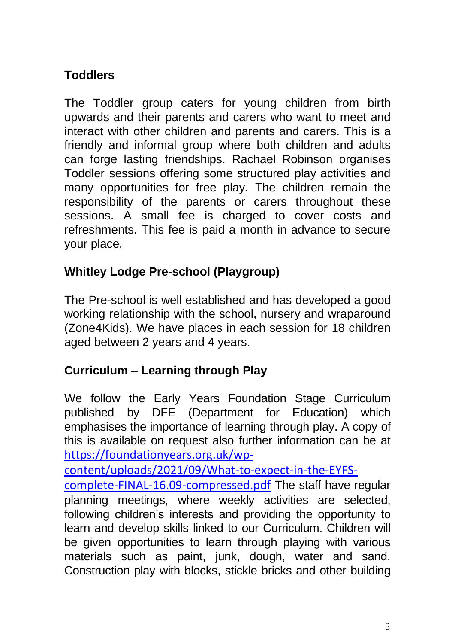## **Toddlers**

The Toddler group caters for young children from birth upwards and their parents and carers who want to meet and interact with other children and parents and carers. This is a friendly and informal group where both children and adults can forge lasting friendships. Rachael Robinson organises Toddler sessions offering some structured play activities and many opportunities for free play. The children remain the responsibility of the parents or carers throughout these sessions. A small fee is charged to cover costs and refreshments. This fee is paid a month in advance to secure your place.

## **Whitley Lodge Pre-school (Playgroup)**

The Pre-school is well established and has developed a good working relationship with the school, nursery and wraparound (Zone4Kids). We have places in each session for 18 children aged between 2 years and 4 years.

### **Curriculum – Learning through Play**

We follow the Early Years Foundation Stage Curriculum published by DFE (Department for Education) which emphasises the importance of learning through play. A copy of this is available on request also further information can be at [https://foundationyears.org.uk/wp-](https://foundationyears.org.uk/wp-content/uploads/2021/09/What-to-expect-in-the-EYFS-complete-FINAL-16.09-compressed.pdf)

[content/uploads/2021/09/What-to-expect-in-the-EYFS-](https://foundationyears.org.uk/wp-content/uploads/2021/09/What-to-expect-in-the-EYFS-complete-FINAL-16.09-compressed.pdf)

[complete-FINAL-16.09-compressed.pdf](https://foundationyears.org.uk/wp-content/uploads/2021/09/What-to-expect-in-the-EYFS-complete-FINAL-16.09-compressed.pdf) The staff have regular planning meetings, where weekly activities are selected, following children's interests and providing the opportunity to learn and develop skills linked to our Curriculum. Children will be given opportunities to learn through playing with various materials such as paint, junk, dough, water and sand. Construction play with blocks, stickle bricks and other building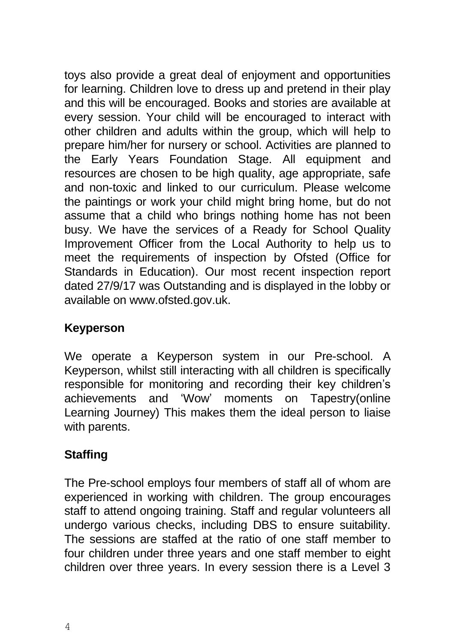toys also provide a great deal of enjoyment and opportunities for learning. Children love to dress up and pretend in their play and this will be encouraged. Books and stories are available at every session. Your child will be encouraged to interact with other children and adults within the group, which will help to prepare him/her for nursery or school. Activities are planned to the Early Years Foundation Stage. All equipment and resources are chosen to be high quality, age appropriate, safe and non-toxic and linked to our curriculum. Please welcome the paintings or work your child might bring home, but do not assume that a child who brings nothing home has not been busy. We have the services of a Ready for School Quality Improvement Officer from the Local Authority to help us to meet the requirements of inspection by Ofsted (Office for Standards in Education). Our most recent inspection report dated 27/9/17 was Outstanding and is displayed in the lobby or available on www.ofsted.gov.uk.

#### **Keyperson**

We operate a Keyperson system in our Pre-school. A Keyperson, whilst still interacting with all children is specifically responsible for monitoring and recording their key children's achievements and 'Wow' moments on Tapestry(online Learning Journey) This makes them the ideal person to liaise with parents.

## **Staffing**

The Pre-school employs four members of staff all of whom are experienced in working with children. The group encourages staff to attend ongoing training. Staff and regular volunteers all undergo various checks, including DBS to ensure suitability. The sessions are staffed at the ratio of one staff member to four children under three years and one staff member to eight children over three years. In every session there is a Level 3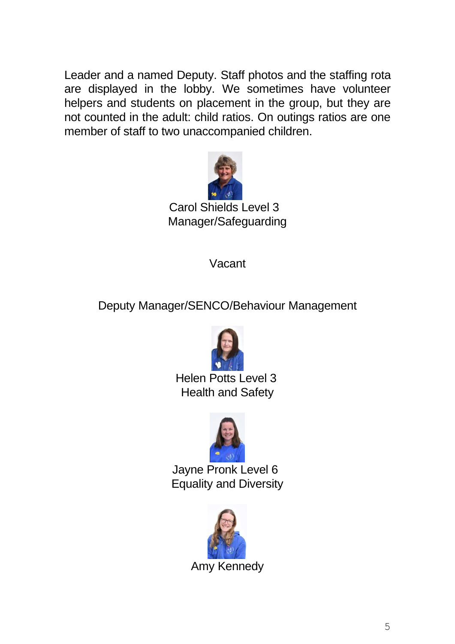Leader and a named Deputy. Staff photos and the staffing rota are displayed in the lobby. We sometimes have volunteer helpers and students on placement in the group, but they are not counted in the adult: child ratios. On outings ratios are one member of staff to two unaccompanied children.



Carol Shields Level 3 Manager/Safeguarding

Vacant

Deputy Manager/SENCO/Behaviour Management



 Helen Potts Level 3 Health and Safety



Jayne Pronk Level 6 Equality and Diversity

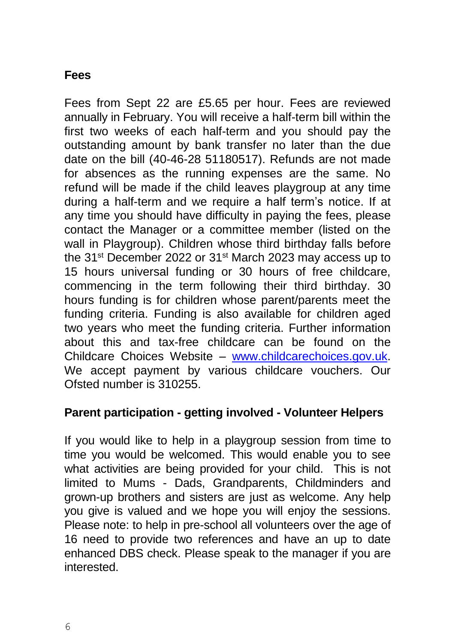#### **Fees**

Fees from Sept 22 are £5.65 per hour. Fees are reviewed annually in February. You will receive a half-term bill within the first two weeks of each half-term and you should pay the outstanding amount by bank transfer no later than the due date on the bill (40-46-28 51180517). Refunds are not made for absences as the running expenses are the same. No refund will be made if the child leaves playgroup at any time during a half-term and we require a half term's notice. If at any time you should have difficulty in paying the fees, please contact the Manager or a committee member (listed on the wall in Playgroup). Children whose third birthday falls before the 31<sup>st</sup> December 2022 or 31<sup>st</sup> March 2023 may access up to 15 hours universal funding or 30 hours of free childcare, commencing in the term following their third birthday. 30 hours funding is for children whose parent/parents meet the funding criteria. Funding is also available for children aged two years who meet the funding criteria. Further information about this and tax-free childcare can be found on the Childcare Choices Website – [www.childcarechoices.gov.uk.](http://www.childcarechoices.gov.uk/) We accept payment by various childcare vouchers. Our Ofsted number is 310255.

#### **Parent participation - getting involved - Volunteer Helpers**

If you would like to help in a playgroup session from time to time you would be welcomed. This would enable you to see what activities are being provided for your child. This is not limited to Mums - Dads, Grandparents, Childminders and grown-up brothers and sisters are just as welcome. Any help you give is valued and we hope you will enjoy the sessions. Please note: to help in pre-school all volunteers over the age of 16 need to provide two references and have an up to date enhanced DBS check. Please speak to the manager if you are interested.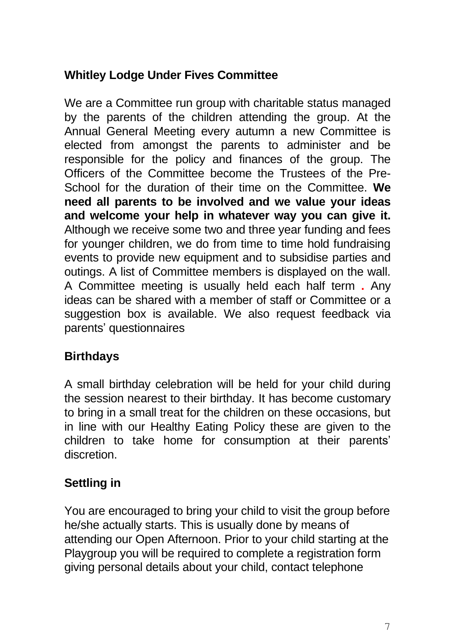### **Whitley Lodge Under Fives Committee**

We are a Committee run group with charitable status managed by the parents of the children attending the group. At the Annual General Meeting every autumn a new Committee is elected from amongst the parents to administer and be responsible for the policy and finances of the group. The Officers of the Committee become the Trustees of the Pre-School for the duration of their time on the Committee. **We need all parents to be involved and we value your ideas and welcome your help in whatever way you can give it.** Although we receive some two and three year funding and fees for younger children, we do from time to time hold fundraising events to provide new equipment and to subsidise parties and outings. A list of Committee members is displayed on the wall. A Committee meeting is usually held each half term **.** Any ideas can be shared with a member of staff or Committee or a suggestion box is available. We also request feedback via parents' questionnaires

## **Birthdays**

A small birthday celebration will be held for your child during the session nearest to their birthday. It has become customary to bring in a small treat for the children on these occasions, but in line with our Healthy Eating Policy these are given to the children to take home for consumption at their parents' discretion.

# **Settling in**

You are encouraged to bring your child to visit the group before he/she actually starts. This is usually done by means of attending our Open Afternoon. Prior to your child starting at the Playgroup you will be required to complete a registration form giving personal details about your child, contact telephone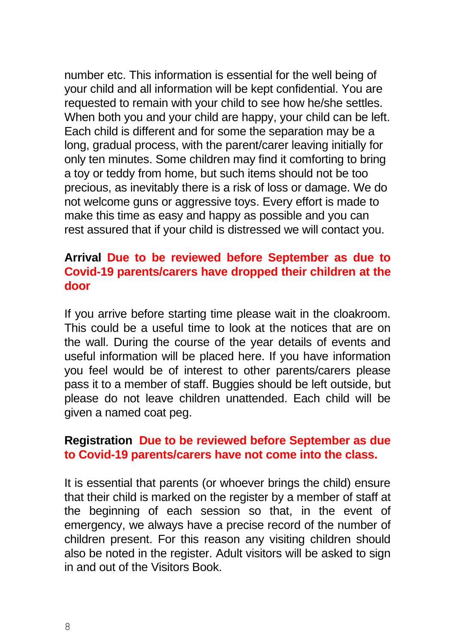number etc. This information is essential for the well being of your child and all information will be kept confidential. You are requested to remain with your child to see how he/she settles. When both you and your child are happy, your child can be left. Each child is different and for some the separation may be a long, gradual process, with the parent/carer leaving initially for only ten minutes. Some children may find it comforting to bring a toy or teddy from home, but such items should not be too precious, as inevitably there is a risk of loss or damage. We do not welcome guns or aggressive toys. Every effort is made to make this time as easy and happy as possible and you can rest assured that if your child is distressed we will contact you.

#### **Arrival Due to be reviewed before September as due to Covid-19 parents/carers have dropped their children at the door**

If you arrive before starting time please wait in the cloakroom. This could be a useful time to look at the notices that are on the wall. During the course of the year details of events and useful information will be placed here. If you have information you feel would be of interest to other parents/carers please pass it to a member of staff. Buggies should be left outside, but please do not leave children unattended. Each child will be given a named coat peg.

#### **Registration Due to be reviewed before September as due to Covid-19 parents/carers have not come into the class.**

It is essential that parents (or whoever brings the child) ensure that their child is marked on the register by a member of staff at the beginning of each session so that, in the event of emergency, we always have a precise record of the number of children present. For this reason any visiting children should also be noted in the register. Adult visitors will be asked to sign in and out of the Visitors Book.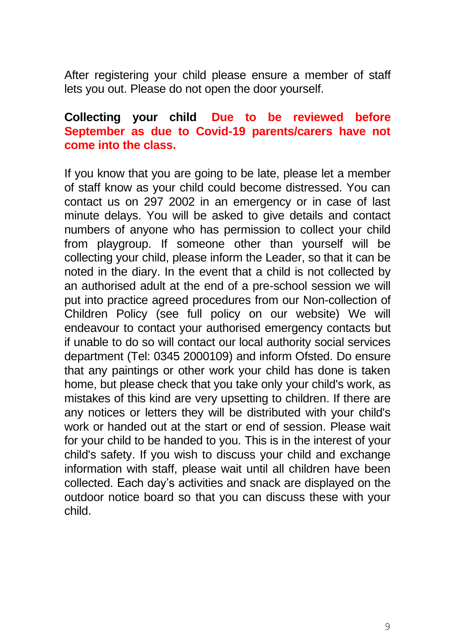After registering your child please ensure a member of staff lets you out. Please do not open the door yourself.

#### **Collecting your child Due to be reviewed before September as due to Covid-19 parents/carers have not come into the class.**

If you know that you are going to be late, please let a member of staff know as your child could become distressed. You can contact us on 297 2002 in an emergency or in case of last minute delays. You will be asked to give details and contact numbers of anyone who has permission to collect your child from playgroup. If someone other than yourself will be collecting your child, please inform the Leader, so that it can be noted in the diary. In the event that a child is not collected by an authorised adult at the end of a pre-school session we will put into practice agreed procedures from our Non-collection of Children Policy (see full policy on our website) We will endeavour to contact your authorised emergency contacts but if unable to do so will contact our local authority social services department (Tel: 0345 2000109) and inform Ofsted. Do ensure that any paintings or other work your child has done is taken home, but please check that you take only your child's work, as mistakes of this kind are very upsetting to children. If there are any notices or letters they will be distributed with your child's work or handed out at the start or end of session. Please wait for your child to be handed to you. This is in the interest of your child's safety. If you wish to discuss your child and exchange information with staff, please wait until all children have been collected. Each day's activities and snack are displayed on the outdoor notice board so that you can discuss these with your child.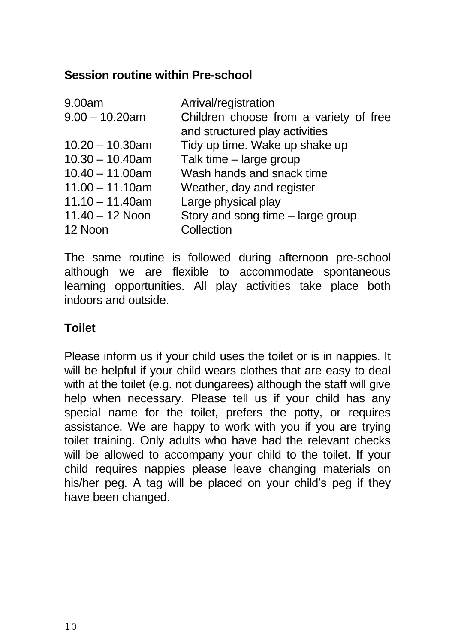#### **Session routine within Pre-school**

| 9.00am             | Arrival/registration                   |
|--------------------|----------------------------------------|
| $9.00 - 10.20$ am  | Children choose from a variety of free |
|                    | and structured play activities         |
| $10.20 - 10.30$ am | Tidy up time. Wake up shake up         |
| $10.30 - 10.40$ am | Talk time - large group                |
| $10.40 - 11.00$ am | Wash hands and snack time              |
| $11.00 - 11.10$ am | Weather, day and register              |
| $11.10 - 11.40$ am | Large physical play                    |
| $11.40 - 12$ Noon  | Story and song time – large group      |
| 12 Noon            | Collection                             |

The same routine is followed during afternoon pre-school although we are flexible to accommodate spontaneous learning opportunities. All play activities take place both indoors and outside.

#### **Toilet**

Please inform us if your child uses the toilet or is in nappies. It will be helpful if your child wears clothes that are easy to deal with at the toilet (e.g. not dungarees) although the staff will give help when necessary. Please tell us if your child has any special name for the toilet, prefers the potty, or requires assistance. We are happy to work with you if you are trying toilet training. Only adults who have had the relevant checks will be allowed to accompany your child to the toilet. If your child requires nappies please leave changing materials on his/her peg. A tag will be placed on your child's peg if they have been changed.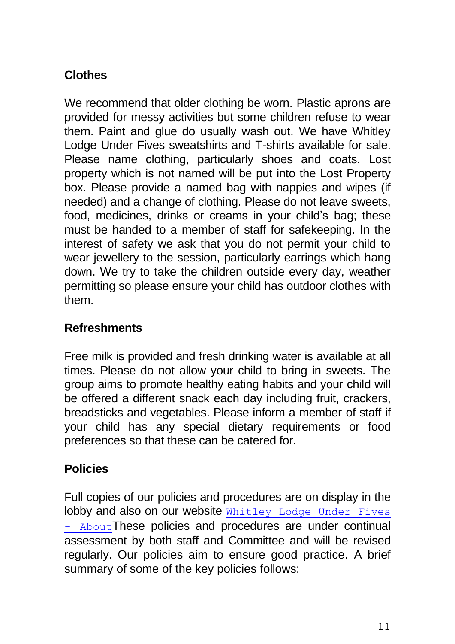## **Clothes**

We recommend that older clothing be worn. Plastic aprons are provided for messy activities but some children refuse to wear them. Paint and glue do usually wash out. We have Whitley Lodge Under Fives sweatshirts and T-shirts available for sale. Please name clothing, particularly shoes and coats. Lost property which is not named will be put into the Lost Property box. Please provide a named bag with nappies and wipes (if needed) and a change of clothing. Please do not leave sweets, food, medicines, drinks or creams in your child's bag; these must be handed to a member of staff for safekeeping. In the interest of safety we ask that you do not permit your child to wear jewellery to the session, particularly earrings which hang down. We try to take the children outside every day, weather permitting so please ensure your child has outdoor clothes with them.

## **Refreshments**

Free milk is provided and fresh drinking water is available at all times. Please do not allow your child to bring in sweets. The group aims to promote healthy eating habits and your child will be offered a different snack each day including fruit, crackers, breadsticks and vegetables. Please inform a member of staff if your child has any special dietary requirements or food preferences so that these can be catered for.

## **Policies**

Full copies of our policies and procedures are on display in the lobby and also on our website Whitley Lodge Under Fives - [About](http://www.whitleylodgeunderfives.org.uk/)These policies and procedures are under continual assessment by both staff and Committee and will be revised regularly. Our policies aim to ensure good practice. A brief summary of some of the key policies follows: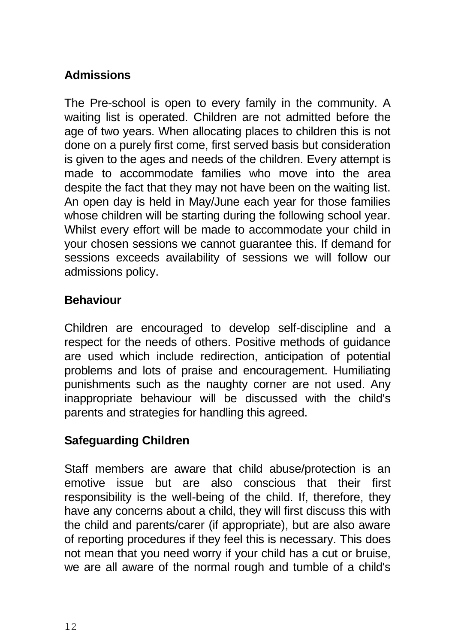## **Admissions**

The Pre-school is open to every family in the community. A waiting list is operated. Children are not admitted before the age of two years. When allocating places to children this is not done on a purely first come, first served basis but consideration is given to the ages and needs of the children. Every attempt is made to accommodate families who move into the area despite the fact that they may not have been on the waiting list. An open day is held in May/June each year for those families whose children will be starting during the following school year. Whilst every effort will be made to accommodate your child in your chosen sessions we cannot guarantee this. If demand for sessions exceeds availability of sessions we will follow our admissions policy.

### **Behaviour**

Children are encouraged to develop self-discipline and a respect for the needs of others. Positive methods of guidance are used which include redirection, anticipation of potential problems and lots of praise and encouragement. Humiliating punishments such as the naughty corner are not used. Any inappropriate behaviour will be discussed with the child's parents and strategies for handling this agreed.

### **Safeguarding Children**

Staff members are aware that child abuse/protection is an emotive issue but are also conscious that their first responsibility is the well-being of the child. If, therefore, they have any concerns about a child, they will first discuss this with the child and parents/carer (if appropriate), but are also aware of reporting procedures if they feel this is necessary. This does not mean that you need worry if your child has a cut or bruise, we are all aware of the normal rough and tumble of a child's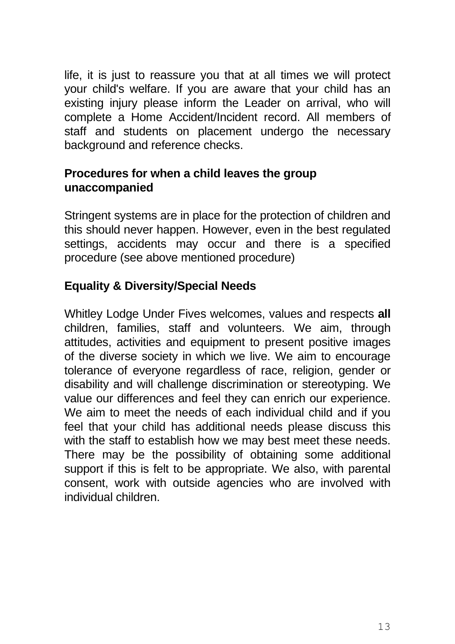life, it is just to reassure you that at all times we will protect your child's welfare. If you are aware that your child has an existing injury please inform the Leader on arrival, who will complete a Home Accident/Incident record. All members of staff and students on placement undergo the necessary background and reference checks.

#### **Procedures for when a child leaves the group unaccompanied**

Stringent systems are in place for the protection of children and this should never happen. However, even in the best regulated settings, accidents may occur and there is a specified procedure (see above mentioned procedure)

## **Equality & Diversity/Special Needs**

Whitley Lodge Under Fives welcomes, values and respects **all** children, families, staff and volunteers. We aim, through attitudes, activities and equipment to present positive images of the diverse society in which we live. We aim to encourage tolerance of everyone regardless of race, religion, gender or disability and will challenge discrimination or stereotyping. We value our differences and feel they can enrich our experience. We aim to meet the needs of each individual child and if you feel that your child has additional needs please discuss this with the staff to establish how we may best meet these needs. There may be the possibility of obtaining some additional support if this is felt to be appropriate. We also, with parental consent, work with outside agencies who are involved with individual children.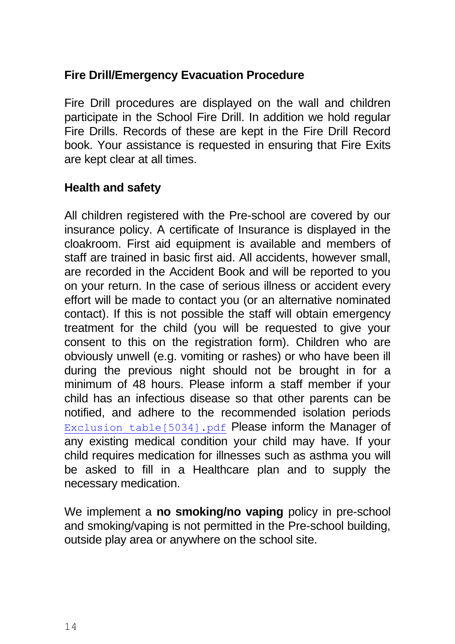#### **Fire Drill/Emergency Evacuation Procedure**

Fire Drill procedures are displayed on the wall and children participate in the School Fire Drill. In addition we hold regular Fire Drills. Records of these are kept in the Fire Drill Record book. Your assistance is requested in ensuring that Fire Exits are kept clear at all times.

#### **Health and safety**

All children registered with the Pre-school are covered by our insurance policy. A certificate of Insurance is displayed in the cloakroom. First aid equipment is available and members of staff are trained in basic first aid. All accidents, however small, are recorded in the Accident Book and will be reported to you on your return. In the case of serious illness or accident every effort will be made to contact you (or an alternative nominated contact). If this is not possible the staff will obtain emergency treatment for the child (you will be requested to give your consent to this on the registration form). Children who are obviously unwell (e.g. vomiting or rashes) or who have been ill during the previous night should not be brought in for a minimum of 48 hours. Please inform a staff member if your child has an infectious disease so that other parents can be notified, and adhere to the recommended isolation periods Exclusion table[5034].pdf Please inform the Manager of any existing medical condition your child may have. If your child requires medication for illnesses such as asthma you will be asked to fill in a Healthcare plan and to supply the necessary medication.

We implement a **no smoking/no vaping** policy in pre-school and smoking/vaping is not permitted in the Pre-school building, outside play area or anywhere on the school site.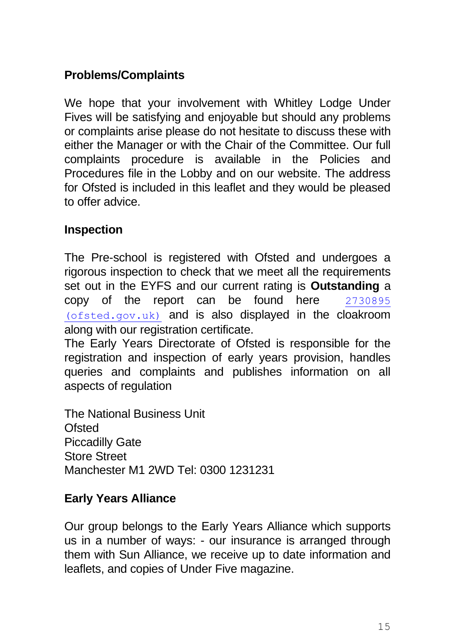### **Problems/Complaints**

We hope that your involvement with Whitley Lodge Under Fives will be satisfying and enjoyable but should any problems or complaints arise please do not hesitate to discuss these with either the Manager or with the Chair of the Committee. Our full complaints procedure is available in the Policies and Procedures file in the Lobby and on our website. The address for Ofsted is included in this leaflet and they would be pleased to offer advice.

#### **Inspection**

The Pre-school is registered with Ofsted and undergoes a rigorous inspection to check that we meet all the requirements set out in the EYFS and our current rating is **Outstanding** a copy of the report can be found here [2730895](https://files.ofsted.gov.uk/v1/file/2730895)  [\(ofsted.gov.uk\)](https://files.ofsted.gov.uk/v1/file/2730895) and is also displayed in the cloakroom along with our registration certificate.

The Early Years Directorate of Ofsted is responsible for the registration and inspection of early years provision, handles queries and complaints and publishes information on all aspects of regulation

The National Business Unit Ofsted Piccadilly Gate Store Street Manchester M1 2WD Tel: 0300 1231231

#### **Early Years Alliance**

Our group belongs to the Early Years Alliance which supports us in a number of ways: - our insurance is arranged through them with Sun Alliance, we receive up to date information and leaflets, and copies of Under Five magazine.